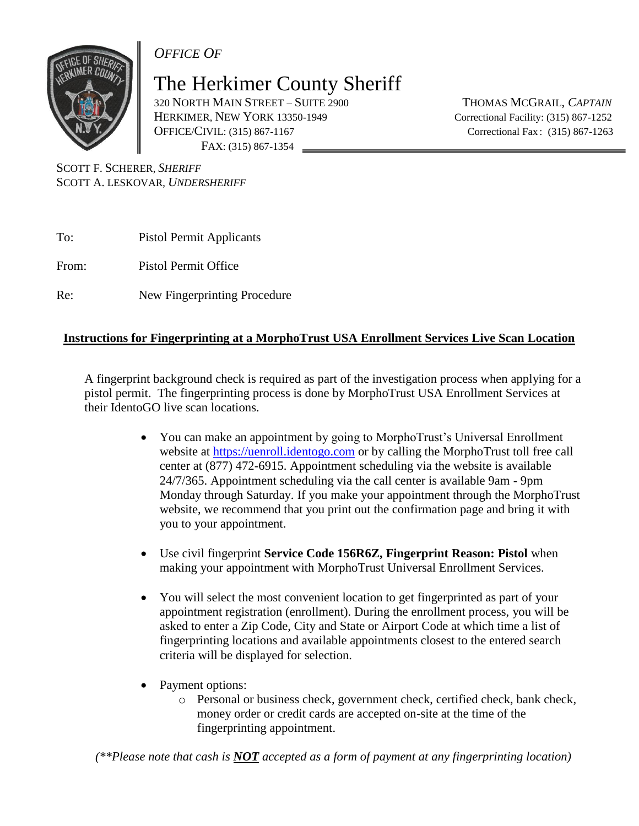*OFFICE OF*

The Herkimer County Sheriff

320 NORTH MAIN STREET – SUITE 2900 THOMAS MCGRAIL, *CAPTAIN* HERKIMER, NEW YORK 13350-1949 Correctional Facility: (315) 867-1252 OFFICE/CIVIL: (315) 867-1167 Correctional Fax : (315) 867-1263 FAX: (315) 867-1354

SCOTT F. SCHERER, *SHERIFF* SCOTT A. LESKOVAR, *UNDERSHERIFF*

To: Pistol Permit Applicants

From: Pistol Permit Office

Re: New Fingerprinting Procedure

## **Instructions for Fingerprinting at a MorphoTrust USA Enrollment Services Live Scan Location**

A fingerprint background check is required as part of the investigation process when applying for a pistol permit. The fingerprinting process is done by MorphoTrust USA Enrollment Services at their IdentoGO live scan locations.

- You can make an appointment by going to MorphoTrust's Universal Enrollment website at [https://uenroll.identogo.com](https://uenroll.identogo.com/) or by calling the MorphoTrust toll free call center at (877) 472-6915. Appointment scheduling via the website is available 24/7/365. Appointment scheduling via the call center is available 9am - 9pm Monday through Saturday. If you make your appointment through the MorphoTrust website, we recommend that you print out the confirmation page and bring it with you to your appointment.
- Use civil fingerprint **Service Code 156R6Z, Fingerprint Reason: Pistol** when making your appointment with MorphoTrust Universal Enrollment Services.
- You will select the most convenient location to get fingerprinted as part of your appointment registration (enrollment). During the enrollment process, you will be asked to enter a Zip Code, City and State or Airport Code at which time a list of fingerprinting locations and available appointments closest to the entered search criteria will be displayed for selection.
- Payment options:
	- o Personal or business check, government check, certified check, bank check, money order or credit cards are accepted on-site at the time of the fingerprinting appointment.

*(\*\*Please note that cash is NOT accepted as a form of payment at any fingerprinting location)*